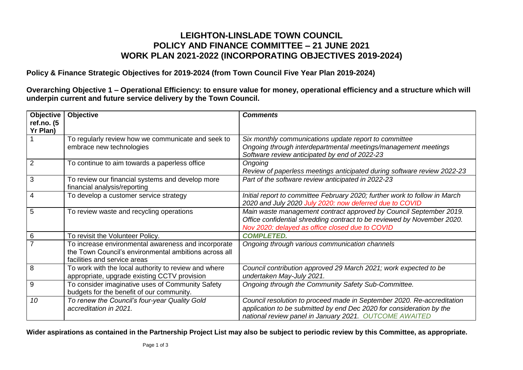## **LEIGHTON-LINSLADE TOWN COUNCIL POLICY AND FINANCE COMMITTEE – 21 JUNE 2021 WORK PLAN 2021-2022 (INCORPORATING OBJECTIVES 2019-2024)**

**Policy & Finance Strategic Objectives for 2019-2024 (from Town Council Five Year Plan 2019-2024)**

**Overarching Objective 1 – Operational Efficiency: to ensure value for money, operational efficiency and a structure which will underpin current and future service delivery by the Town Council.**

| <b>Objective</b><br>ref.no. (5 | Objective                                                                                            | <b>Comments</b>                                                                                                                       |
|--------------------------------|------------------------------------------------------------------------------------------------------|---------------------------------------------------------------------------------------------------------------------------------------|
| Yr Plan)                       |                                                                                                      |                                                                                                                                       |
|                                | To regularly review how we communicate and seek to                                                   | Six monthly communications update report to committee                                                                                 |
|                                | embrace new technologies                                                                             | Ongoing through interdepartmental meetings/management meetings                                                                        |
|                                |                                                                                                      | Software review anticipated by end of 2022-23                                                                                         |
| $\overline{2}$                 | To continue to aim towards a paperless office                                                        | Ongoing                                                                                                                               |
|                                |                                                                                                      | Review of paperless meetings anticipated during software review 2022-23                                                               |
| 3                              | To review our financial systems and develop more<br>financial analysis/reporting                     | Part of the software review anticipated in 2022-23                                                                                    |
| 4                              | To develop a customer service strategy                                                               | Initial report to committee February 2020; further work to follow in March<br>2020 and July 2020 July 2020: now deferred due to COVID |
| 5                              | To review waste and recycling operations                                                             | Main waste management contract approved by Council September 2019.                                                                    |
|                                |                                                                                                      | Office confidential shredding contract to be reviewed by November 2020.<br>Nov 2020: delayed as office closed due to COVID            |
| 6                              | To revisit the Volunteer Policy.                                                                     | <b>COMPLETED.</b>                                                                                                                     |
| 7                              | To increase environmental awareness and incorporate                                                  | Ongoing through various communication channels                                                                                        |
|                                | the Town Council's environmental ambitions across all                                                |                                                                                                                                       |
|                                | facilities and service areas                                                                         |                                                                                                                                       |
| 8                              | To work with the local authority to review and where<br>appropriate, upgrade existing CCTV provision | Council contribution approved 29 March 2021; work expected to be<br>undertaken May-July 2021.                                         |
| 9                              | To consider imaginative uses of Community Safety                                                     | Ongoing through the Community Safety Sub-Committee.                                                                                   |
|                                | budgets for the benefit of our community.                                                            |                                                                                                                                       |
| 10                             | To renew the Council's four-year Quality Gold                                                        | Council resolution to proceed made in September 2020. Re-accreditation                                                                |
|                                | accreditation in 2021.                                                                               | application to be submitted by end Dec 2020 for consideration by the                                                                  |
|                                |                                                                                                      | national review panel in January 2021. OUTCOME AWAITED                                                                                |

**Wider aspirations as contained in the Partnership Project List may also be subject to periodic review by this Committee, as appropriate.**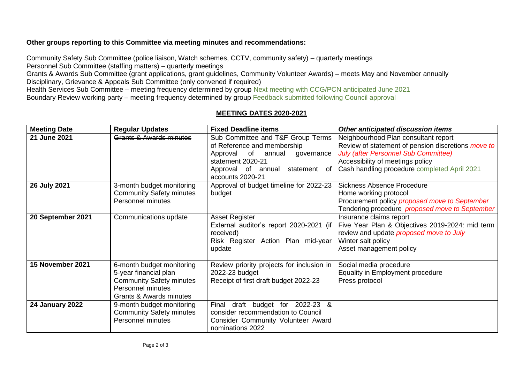## **Other groups reporting to this Committee via meeting minutes and recommendations:**

Community Safety Sub Committee (police liaison, Watch schemes, CCTV, community safety) – quarterly meetings Personnel Sub Committee (staffing matters) – quarterly meetings

Grants & Awards Sub Committee (grant applications, grant guidelines, Community Volunteer Awards) – meets May and November annually Disciplinary, Grievance & Appeals Sub Committee (only convened if required)

Health Services Sub Committee – meeting frequency determined by group Next meeting with CCG/PCN anticipated June 2021 Boundary Review working party – meeting frequency determined by group Feedback submitted following Council approval

## **MEETING DATES 2020-2021**

| <b>Meeting Date</b>    | <b>Regular Updates</b>                                                                                                                | <b>Fixed Deadline items</b>                                                                                                                                                                  | Other anticipated discussion items                                                                                                                                                                                            |
|------------------------|---------------------------------------------------------------------------------------------------------------------------------------|----------------------------------------------------------------------------------------------------------------------------------------------------------------------------------------------|-------------------------------------------------------------------------------------------------------------------------------------------------------------------------------------------------------------------------------|
| 21 June 2021           | Grants & Awards minutes                                                                                                               | Sub Committee and T&F Group Terms<br>of Reference and membership<br>of<br>Approval<br>annual<br>governance<br>statement 2020-21<br>of<br>Approval of annual<br>statement<br>accounts 2020-21 | Neighbourhood Plan consultant report<br>Review of statement of pension discretions move to<br><b>July (after Personnel Sub Committee)</b><br>Accessibility of meetings policy<br>Cash handling procedure completed April 2021 |
| 26 July 2021           | 3-month budget monitoring<br><b>Community Safety minutes</b><br>Personnel minutes                                                     | Approval of budget timeline for 2022-23<br>budget                                                                                                                                            | <b>Sickness Absence Procedure</b><br>Home working protocol<br>Procurement policy proposed move to September<br>Tendering procedure proposed move to September                                                                 |
| 20 September 2021      | Communications update                                                                                                                 | Asset Register<br>External auditor's report 2020-2021 (if<br>received)<br>Risk Register Action Plan mid-year<br>update                                                                       | Insurance claims report<br>Five Year Plan & Objectives 2019-2024: mid term<br>review and update proposed move to July<br>Winter salt policy<br>Asset management policy                                                        |
| 15 November 2021       | 6-month budget monitoring<br>5-year financial plan<br><b>Community Safety minutes</b><br>Personnel minutes<br>Grants & Awards minutes | Review priority projects for inclusion in<br>2022-23 budget<br>Receipt of first draft budget 2022-23                                                                                         | Social media procedure<br>Equality in Employment procedure<br>Press protocol                                                                                                                                                  |
| <b>24 January 2022</b> | 9-month budget monitoring<br><b>Community Safety minutes</b><br>Personnel minutes                                                     | Final<br>draft budget for 2022-23 &<br>consider recommendation to Council<br>Consider Community Volunteer Award<br>nominations 2022                                                          |                                                                                                                                                                                                                               |